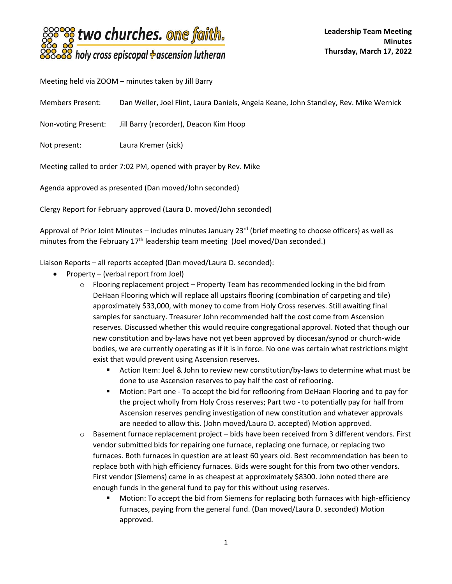

Meeting held via ZOOM – minutes taken by Jill Barry

Members Present: Dan Weller, Joel Flint, Laura Daniels, Angela Keane, John Standley, Rev. Mike Wernick

Non-voting Present: Jill Barry (recorder), Deacon Kim Hoop

Not present: Laura Kremer (sick)

Meeting called to order 7:02 PM, opened with prayer by Rev. Mike

Agenda approved as presented (Dan moved/John seconded)

Clergy Report for February approved (Laura D. moved/John seconded)

Approval of Prior Joint Minutes – includes minutes January  $23^{rd}$  (brief meeting to choose officers) as well as minutes from the February 17<sup>th</sup> leadership team meeting (Joel moved/Dan seconded.)

Liaison Reports – all reports accepted (Dan moved/Laura D. seconded):

- Property (verbal report from Joel)
	- $\circ$  Flooring replacement project Property Team has recommended locking in the bid from DeHaan Flooring which will replace all upstairs flooring (combination of carpeting and tile) approximately \$33,000, with money to come from Holy Cross reserves. Still awaiting final samples for sanctuary. Treasurer John recommended half the cost come from Ascension reserves. Discussed whether this would require congregational approval. Noted that though our new constitution and by-laws have not yet been approved by diocesan/synod or church-wide bodies, we are currently operating as if it is in force. No one was certain what restrictions might exist that would prevent using Ascension reserves.
		- Action Item: Joel & John to review new constitution/by-laws to determine what must be done to use Ascension reserves to pay half the cost of reflooring.
		- Motion: Part one To accept the bid for reflooring from DeHaan Flooring and to pay for the project wholly from Holy Cross reserves; Part two - to potentially pay for half from Ascension reserves pending investigation of new constitution and whatever approvals are needed to allow this. (John moved/Laura D. accepted) Motion approved.
	- o Basement furnace replacement project bids have been received from 3 different vendors. First vendor submitted bids for repairing one furnace, replacing one furnace, or replacing two furnaces. Both furnaces in question are at least 60 years old. Best recommendation has been to replace both with high efficiency furnaces. Bids were sought for this from two other vendors. First vendor (Siemens) came in as cheapest at approximately \$8300. John noted there are enough funds in the general fund to pay for this without using reserves.
		- Motion: To accept the bid from Siemens for replacing both furnaces with high-efficiency furnaces, paying from the general fund. (Dan moved/Laura D. seconded) Motion approved.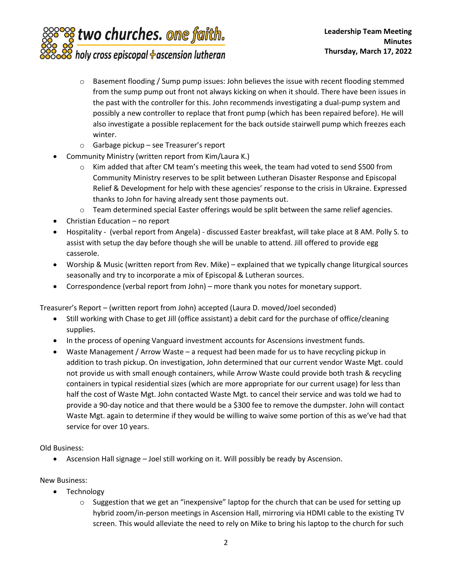

- $\circ$  Basement flooding / Sump pump issues: John believes the issue with recent flooding stemmed from the sump pump out front not always kicking on when it should. There have been issues in the past with the controller for this. John recommends investigating a dual-pump system and possibly a new controller to replace that front pump (which has been repaired before). He will also investigate a possible replacement for the back outside stairwell pump which freezes each winter.
- o Garbage pickup see Treasurer's report
- Community Ministry (written report from Kim/Laura K.)
	- $\circ$  Kim added that after CM team's meeting this week, the team had voted to send \$500 from Community Ministry reserves to be split between Lutheran Disaster Response and Episcopal Relief & Development for help with these agencies' response to the crisis in Ukraine. Expressed thanks to John for having already sent those payments out.
	- $\circ$  Team determined special Easter offerings would be split between the same relief agencies.
- Christian Education no report
- Hospitality (verbal report from Angela) discussed Easter breakfast, will take place at 8 AM. Polly S. to assist with setup the day before though she will be unable to attend. Jill offered to provide egg casserole.
- Worship & Music (written report from Rev. Mike) explained that we typically change liturgical sources seasonally and try to incorporate a mix of Episcopal & Lutheran sources.
- Correspondence (verbal report from John) more thank you notes for monetary support.

Treasurer's Report – (written report from John) accepted (Laura D. moved/Joel seconded)

- Still working with Chase to get Jill (office assistant) a debit card for the purchase of office/cleaning supplies.
- In the process of opening Vanguard investment accounts for Ascensions investment funds.
- Waste Management / Arrow Waste a request had been made for us to have recycling pickup in addition to trash pickup. On investigation, John determined that our current vendor Waste Mgt. could not provide us with small enough containers, while Arrow Waste could provide both trash & recycling containers in typical residential sizes (which are more appropriate for our current usage) for less than half the cost of Waste Mgt. John contacted Waste Mgt. to cancel their service and was told we had to provide a 90-day notice and that there would be a \$300 fee to remove the dumpster. John will contact Waste Mgt. again to determine if they would be willing to waive some portion of this as we've had that service for over 10 years.

## Old Business:

• Ascension Hall signage – Joel still working on it. Will possibly be ready by Ascension.

## New Business:

- Technology
	- $\circ$  Suggestion that we get an "inexpensive" laptop for the church that can be used for setting up hybrid zoom/in-person meetings in Ascension Hall, mirroring via HDMI cable to the existing TV screen. This would alleviate the need to rely on Mike to bring his laptop to the church for such